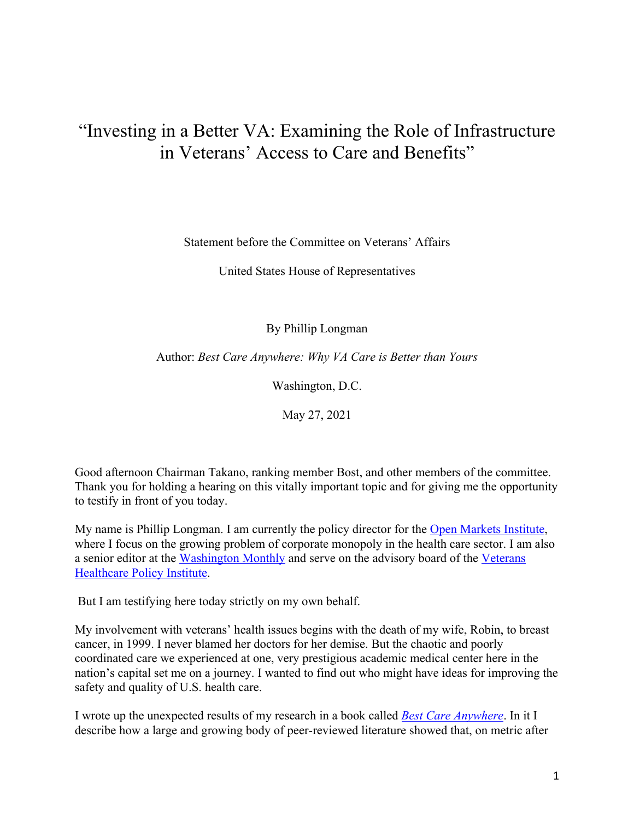## "Investing in a Better VA: Examining the Role of Infrastructure in Veterans' Access to Care and Benefits"

Statement before the Committee on Veterans' Affairs

United States House of Representatives

By Phillip Longman

Author: *Best Care Anywhere: Why VA Care is Better than Yours*

Washington, D.C.

May 27, 2021

Good afternoon Chairman Takano, ranking member Bost, and other members of the committee. Thank you for holding a hearing on this vitally important topic and for giving me the opportunity to testify in front of you today.

My name is Phillip Longman. I am currently the policy director for the Open Markets Institute, where I focus on the growing problem of corporate monopoly in the health care sector. I am also a senior editor at the Washington Monthly and serve on the advisory board of the Veterans Healthcare Policy Institute.

But I am testifying here today strictly on my own behalf.

My involvement with veterans' health issues begins with the death of my wife, Robin, to breast cancer, in 1999. I never blamed her doctors for her demise. But the chaotic and poorly coordinated care we experienced at one, very prestigious academic medical center here in the nation's capital set me on a journey. I wanted to find out who might have ideas for improving the safety and quality of U.S. health care.

I wrote up the unexpected results of my research in a book called *Best Care Anywhere*. In it I describe how a large and growing body of peer-reviewed literature showed that, on metric after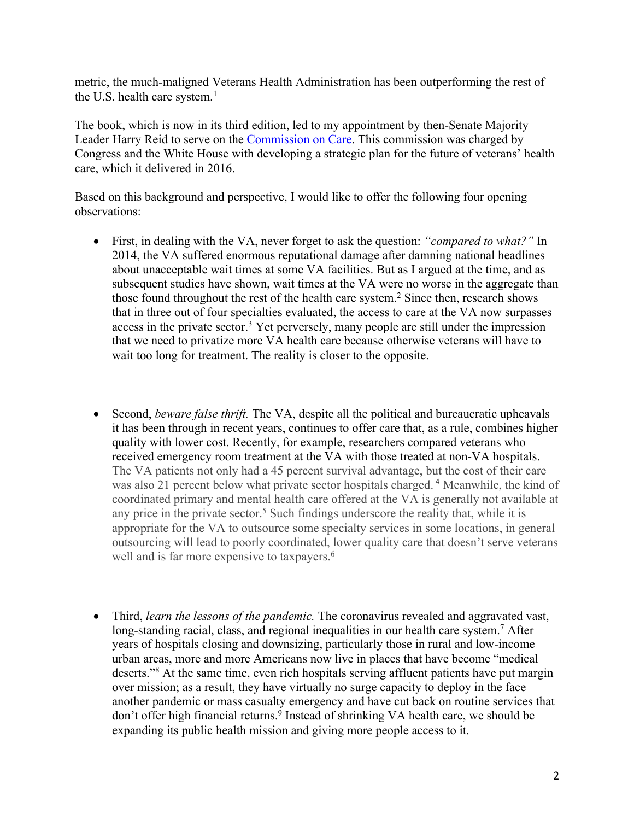metric, the much-maligned Veterans Health Administration has been outperforming the rest of the U.S. health care system. $<sup>1</sup>$ </sup>

The book, which is now in its third edition, led to my appointment by then-Senate Majority Leader Harry Reid to serve on the Commission on Care. This commission was charged by Congress and the White House with developing a strategic plan for the future of veterans' health care, which it delivered in 2016.

Based on this background and perspective, I would like to offer the following four opening observations:

- First, in dealing with the VA, never forget to ask the question: *"compared to what?"* In 2014, the VA suffered enormous reputational damage after damning national headlines about unacceptable wait times at some VA facilities. But as I argued at the time, and as subsequent studies have shown, wait times at the VA were no worse in the aggregate than those found throughout the rest of the health care system.<sup>2</sup> Since then, research shows that in three out of four specialties evaluated, the access to care at the VA now surpasses access in the private sector.<sup>3</sup> Yet perversely, many people are still under the impression that we need to privatize more VA health care because otherwise veterans will have to wait too long for treatment. The reality is closer to the opposite.
- Second, *beware false thrift*. The VA, despite all the political and bureaucratic upheavals it has been through in recent years, continues to offer care that, as a rule, combines higher quality with lower cost. Recently, for example, researchers compared veterans who received emergency room treatment at the VA with those treated at non-VA hospitals. The VA patients not only had a 45 percent survival advantage, but the cost of their care was also 21 percent below what private sector hospitals charged.<sup>4</sup> Meanwhile, the kind of coordinated primary and mental health care offered at the VA is generally not available at any price in the private sector.<sup>5</sup> Such findings underscore the reality that, while it is appropriate for the VA to outsource some specialty services in some locations, in general outsourcing will lead to poorly coordinated, lower quality care that doesn't serve veterans well and is far more expensive to taxpayers.<sup>6</sup>
- Third, *learn the lessons of the pandemic.* The coronavirus revealed and aggravated vast, long-standing racial, class, and regional inequalities in our health care system.<sup>7</sup> After years of hospitals closing and downsizing, particularly those in rural and low-income urban areas, more and more Americans now live in places that have become "medical deserts."<sup>8</sup> At the same time, even rich hospitals serving affluent patients have put margin over mission; as a result, they have virtually no surge capacity to deploy in the face another pandemic or mass casualty emergency and have cut back on routine services that don't offer high financial returns. <sup>9</sup> Instead of shrinking VA health care, we should be expanding its public health mission and giving more people access to it.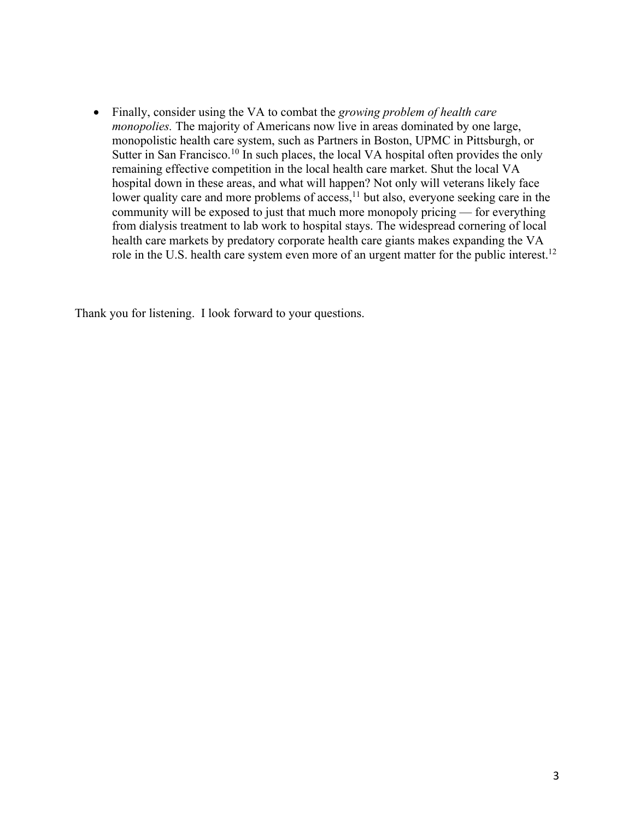• Finally, consider using the VA to combat the *growing problem of health care monopolies.* The majority of Americans now live in areas dominated by one large, monopolistic health care system, such as Partners in Boston, UPMC in Pittsburgh, or Sutter in San Francisco.<sup>10</sup> In such places, the local VA hospital often provides the only remaining effective competition in the local health care market. Shut the local VA hospital down in these areas, and what will happen? Not only will veterans likely face lower quality care and more problems of access,<sup>11</sup> but also, everyone seeking care in the community will be exposed to just that much more monopoly pricing — for everything from dialysis treatment to lab work to hospital stays. The widespread cornering of local health care markets by predatory corporate health care giants makes expanding the VA role in the U.S. health care system even more of an urgent matter for the public interest.<sup>12</sup>

Thank you for listening. I look forward to your questions.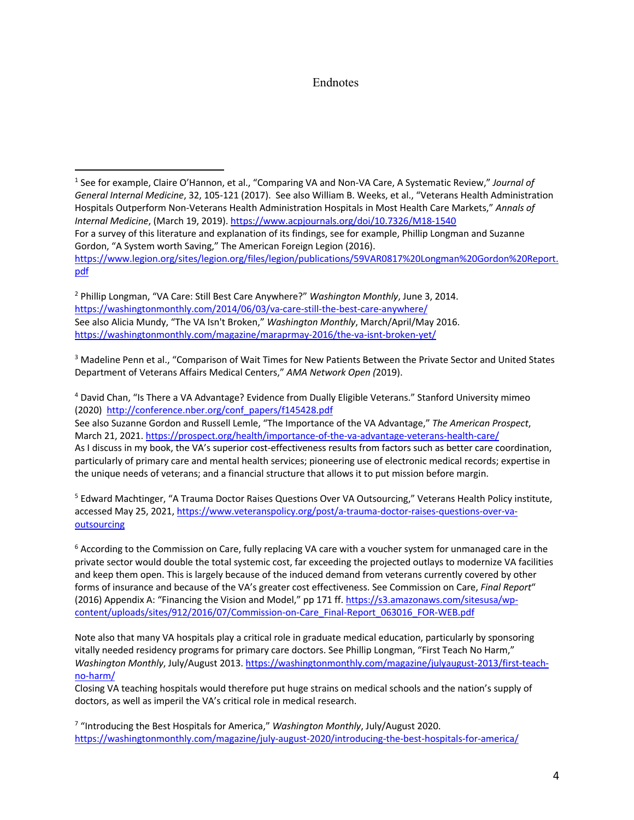## Endnotes

<sup>1</sup> See for example, Claire O'Hannon, et al., "Comparing VA and Non-VA Care, A Systematic Review," *Journal of General Internal Medicine*, 32, 105-121 (2017). See also William B. Weeks, et al., "Veterans Health Administration Hospitals Outperform Non-Veterans Health Administration Hospitals in Most Health Care Markets," *Annals of Internal Medicine*, (March 19, 2019). https://www.acpjournals.org/doi/10.7326/M18-1540 For a survey of this literature and explanation of its findings, see for example, Phillip Longman and Suzanne Gordon, "A System worth Saving," The American Foreign Legion (2016). https://www.legion.org/sites/legion.org/files/legion/publications/59VAR0817%20Longman%20Gordon%20Report. pdf

<sup>2</sup> Phillip Longman, "VA Care: Still Best Care Anywhere?" *Washington Monthly*, June 3, 2014. https://washingtonmonthly.com/2014/06/03/va-care-still-the-best-care-anywhere/ See also Alicia Mundy, "The VA Isn't Broken," *Washington Monthly*, March/April/May 2016. https://washingtonmonthly.com/magazine/maraprmay-2016/the-va-isnt-broken-yet/

<sup>3</sup> Madeline Penn et al., "Comparison of Wait Times for New Patients Between the Private Sector and United States Department of Veterans Affairs Medical Centers," *AMA Network Open (*2019).

<sup>4</sup> David Chan, "Is There a VA Advantage? Evidence from Dually Eligible Veterans." Stanford University mimeo (2020) http://conference.nber.org/conf\_papers/f145428.pdf

See also Suzanne Gordon and Russell Lemle, "The Importance of the VA Advantage," *The American Prospect*, March 21, 2021. https://prospect.org/health/importance-of-the-va-advantage-veterans-health-care/ As I discuss in my book, the VA's superior cost-effectiveness results from factors such as better care coordination, particularly of primary care and mental health services; pioneering use of electronic medical records; expertise in the unique needs of veterans; and a financial structure that allows it to put mission before margin.

<sup>5</sup> Edward Machtinger, "A Trauma Doctor Raises Questions Over VA Outsourcing," Veterans Health Policy institute, accessed May 25, 2021, https://www.veteranspolicy.org/post/a-trauma-doctor-raises-questions-over-vaoutsourcing

<sup>6</sup> According to the Commission on Care, fully replacing VA care with a voucher system for unmanaged care in the private sector would double the total systemic cost, far exceeding the projected outlays to modernize VA facilities and keep them open. This is largely because of the induced demand from veterans currently covered by other forms of insurance and because of the VA's greater cost effectiveness. See Commission on Care, *Final Report*" (2016) Appendix A: "Financing the Vision and Model," pp 171 ff. https://s3.amazonaws.com/sitesusa/wpcontent/uploads/sites/912/2016/07/Commission-on-Care\_Final-Report\_063016\_FOR-WEB.pdf

Note also that many VA hospitals play a critical role in graduate medical education, particularly by sponsoring vitally needed residency programs for primary care doctors. See Phillip Longman, "First Teach No Harm," *Washington Monthly*, July/August 2013. https://washingtonmonthly.com/magazine/julyaugust-2013/first-teachno-harm/

Closing VA teaching hospitals would therefore put huge strains on medical schools and the nation's supply of doctors, as well as imperil the VA's critical role in medical research.

<sup>7</sup> "Introducing the Best Hospitals for America," *Washington Monthly*, July/August 2020. https://washingtonmonthly.com/magazine/july-august-2020/introducing-the-best-hospitals-for-america/